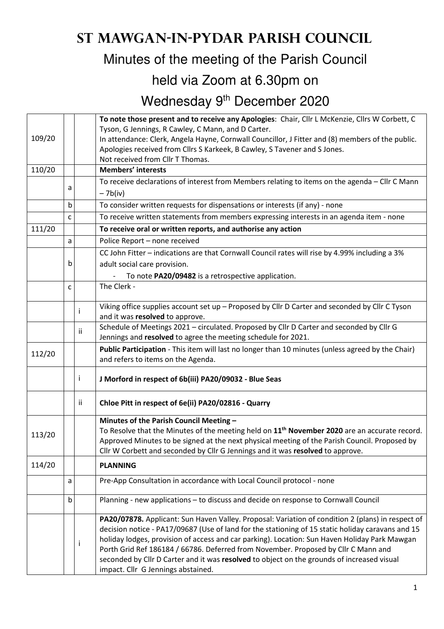## **St Mawgan-in-Pydar Parish Council**

Minutes of the meeting of the Parish Council

## held via Zoom at 6.30pm on

Wednesday 9<sup>th</sup> December 2020

| Tyson, G Jennings, R Cawley, C Mann, and D Carter.                                             |                                                                                                  |    | To note those present and to receive any Apologies: Chair, Cllr L McKenzie, Cllrs W Corbett, C                                                                                                                                                                                                                                                                                                                                                                                                                                    |  |  |  |
|------------------------------------------------------------------------------------------------|--------------------------------------------------------------------------------------------------|----|-----------------------------------------------------------------------------------------------------------------------------------------------------------------------------------------------------------------------------------------------------------------------------------------------------------------------------------------------------------------------------------------------------------------------------------------------------------------------------------------------------------------------------------|--|--|--|
| 109/20                                                                                         | In attendance: Clerk, Angela Hayne, Cornwall Councillor, J Fitter and (8) members of the public. |    |                                                                                                                                                                                                                                                                                                                                                                                                                                                                                                                                   |  |  |  |
|                                                                                                | Apologies received from Cllrs S Karkeek, B Cawley, S Tavener and S Jones.                        |    |                                                                                                                                                                                                                                                                                                                                                                                                                                                                                                                                   |  |  |  |
| 110/20                                                                                         |                                                                                                  |    | Not received from Cllr T Thomas.                                                                                                                                                                                                                                                                                                                                                                                                                                                                                                  |  |  |  |
|                                                                                                |                                                                                                  |    | <b>Members' interests</b>                                                                                                                                                                                                                                                                                                                                                                                                                                                                                                         |  |  |  |
|                                                                                                | a                                                                                                |    | To receive declarations of interest from Members relating to items on the agenda - Cllr C Mann<br>$-7b(iv)$                                                                                                                                                                                                                                                                                                                                                                                                                       |  |  |  |
|                                                                                                | b                                                                                                |    | To consider written requests for dispensations or interests (if any) - none                                                                                                                                                                                                                                                                                                                                                                                                                                                       |  |  |  |
|                                                                                                | с                                                                                                |    | To receive written statements from members expressing interests in an agenda item - none                                                                                                                                                                                                                                                                                                                                                                                                                                          |  |  |  |
| 111/20                                                                                         |                                                                                                  |    | To receive oral or written reports, and authorise any action                                                                                                                                                                                                                                                                                                                                                                                                                                                                      |  |  |  |
|                                                                                                | Police Report - none received<br>a                                                               |    |                                                                                                                                                                                                                                                                                                                                                                                                                                                                                                                                   |  |  |  |
| CC John Fitter - indications are that Cornwall Council rates will rise by 4.99% including a 3% |                                                                                                  |    |                                                                                                                                                                                                                                                                                                                                                                                                                                                                                                                                   |  |  |  |
|                                                                                                | b                                                                                                |    | adult social care provision.                                                                                                                                                                                                                                                                                                                                                                                                                                                                                                      |  |  |  |
|                                                                                                |                                                                                                  |    | To note PA20/09482 is a retrospective application.                                                                                                                                                                                                                                                                                                                                                                                                                                                                                |  |  |  |
|                                                                                                | C                                                                                                |    | The Clerk -                                                                                                                                                                                                                                                                                                                                                                                                                                                                                                                       |  |  |  |
|                                                                                                |                                                                                                  | Ť  | Viking office supplies account set up - Proposed by Cllr D Carter and seconded by Cllr C Tyson<br>and it was resolved to approve.                                                                                                                                                                                                                                                                                                                                                                                                 |  |  |  |
|                                                                                                |                                                                                                  | Ϊİ | Schedule of Meetings 2021 - circulated. Proposed by Cllr D Carter and seconded by Cllr G<br>Jennings and resolved to agree the meeting schedule for 2021.                                                                                                                                                                                                                                                                                                                                                                         |  |  |  |
| 112/20                                                                                         |                                                                                                  |    | Public Participation - This item will last no longer than 10 minutes (unless agreed by the Chair)<br>and refers to items on the Agenda.                                                                                                                                                                                                                                                                                                                                                                                           |  |  |  |
|                                                                                                | J Morford in respect of 6b(iii) PA20/09032 - Blue Seas<br>Ť                                      |    |                                                                                                                                                                                                                                                                                                                                                                                                                                                                                                                                   |  |  |  |
|                                                                                                |                                                                                                  | Ϊİ | Chloe Pitt in respect of 6e(ii) PA20/02816 - Quarry                                                                                                                                                                                                                                                                                                                                                                                                                                                                               |  |  |  |
|                                                                                                |                                                                                                  |    | Minutes of the Parish Council Meeting -                                                                                                                                                                                                                                                                                                                                                                                                                                                                                           |  |  |  |
| 113/20                                                                                         |                                                                                                  |    | To Resolve that the Minutes of the meeting held on 11 <sup>th</sup> November 2020 are an accurate record.                                                                                                                                                                                                                                                                                                                                                                                                                         |  |  |  |
|                                                                                                |                                                                                                  |    | Approved Minutes to be signed at the next physical meeting of the Parish Council. Proposed by                                                                                                                                                                                                                                                                                                                                                                                                                                     |  |  |  |
|                                                                                                |                                                                                                  |    | Cllr W Corbett and seconded by Cllr G Jennings and it was resolved to approve.                                                                                                                                                                                                                                                                                                                                                                                                                                                    |  |  |  |
| 114/20<br><b>PLANNING</b>                                                                      |                                                                                                  |    |                                                                                                                                                                                                                                                                                                                                                                                                                                                                                                                                   |  |  |  |
|                                                                                                | a                                                                                                |    | Pre-App Consultation in accordance with Local Council protocol - none                                                                                                                                                                                                                                                                                                                                                                                                                                                             |  |  |  |
|                                                                                                | b                                                                                                |    | Planning - new applications - to discuss and decide on response to Cornwall Council                                                                                                                                                                                                                                                                                                                                                                                                                                               |  |  |  |
|                                                                                                |                                                                                                  | Ť  | PA20/07878. Applicant: Sun Haven Valley. Proposal: Variation of condition 2 (plans) in respect of<br>decision notice - PA17/09687 (Use of land for the stationing of 15 static holiday caravans and 15<br>holiday lodges, provision of access and car parking). Location: Sun Haven Holiday Park Mawgan<br>Porth Grid Ref 186184 / 66786. Deferred from November. Proposed by Cllr C Mann and<br>seconded by Cllr D Carter and it was resolved to object on the grounds of increased visual<br>impact. Cllr G Jennings abstained. |  |  |  |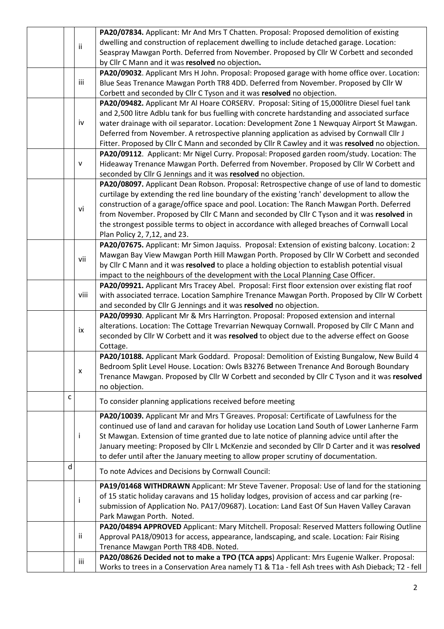|  |                                                                                              |      | PA20/07834. Applicant: Mr And Mrs T Chatten. Proposal: Proposed demolition of existing                  |  |  |
|--|----------------------------------------------------------------------------------------------|------|---------------------------------------------------------------------------------------------------------|--|--|
|  |                                                                                              | ii   | dwelling and construction of replacement dwelling to include detached garage. Location:                 |  |  |
|  |                                                                                              |      | Seaspray Mawgan Porth. Deferred from November. Proposed by Cllr W Corbett and seconded                  |  |  |
|  |                                                                                              |      | by Cllr C Mann and it was resolved no objection.                                                        |  |  |
|  | PA20/09032. Applicant Mrs H John. Proposal: Proposed garage with home office over. Location: |      |                                                                                                         |  |  |
|  |                                                                                              | iii  | Blue Seas Trenance Mawgan Porth TR8 4DD. Deferred from November. Proposed by Cllr W                     |  |  |
|  |                                                                                              |      | Corbett and seconded by Cllr C Tyson and it was resolved no objection.                                  |  |  |
|  |                                                                                              |      | PA20/09482. Applicant Mr Al Hoare CORSERV. Proposal: Siting of 15,000litre Diesel fuel tank             |  |  |
|  |                                                                                              |      | and 2,500 litre Adblu tank for bus fuelling with concrete hardstanding and associated surface           |  |  |
|  |                                                                                              | iv   | water drainage with oil separator. Location: Development Zone 1 Newquay Airport St Mawgan.              |  |  |
|  |                                                                                              |      | Deferred from November. A retrospective planning application as advised by Cornwall Cllr J              |  |  |
|  |                                                                                              |      | Fitter. Proposed by Cllr C Mann and seconded by Cllr R Cawley and it was resolved no objection.         |  |  |
|  |                                                                                              |      | PA20/09112. Applicant: Mr Nigel Curry. Proposal: Proposed garden room/study. Location: The              |  |  |
|  |                                                                                              | V    | Hideaway Trenance Mawgan Porth. Deferred from November. Proposed by Cllr W Corbett and                  |  |  |
|  |                                                                                              |      | seconded by Cllr G Jennings and it was resolved no objection.                                           |  |  |
|  |                                                                                              |      | PA20/08097. Applicant Dean Robson. Proposal: Retrospective change of use of land to domestic            |  |  |
|  |                                                                                              |      | curtilage by extending the red line boundary of the existing 'ranch' development to allow the           |  |  |
|  |                                                                                              | vi   | construction of a garage/office space and pool. Location: The Ranch Mawgan Porth. Deferred              |  |  |
|  |                                                                                              |      | from November. Proposed by Cllr C Mann and seconded by Cllr C Tyson and it was resolved in              |  |  |
|  |                                                                                              |      | the strongest possible terms to object in accordance with alleged breaches of Cornwall Local            |  |  |
|  |                                                                                              |      | Plan Policy 2, 7,12, and 23.                                                                            |  |  |
|  |                                                                                              |      | PA20/07675. Applicant: Mr Simon Jaquiss. Proposal: Extension of existing balcony. Location: 2           |  |  |
|  |                                                                                              | vii  | Mawgan Bay View Mawgan Porth Hill Mawgan Porth. Proposed by Cllr W Corbett and seconded                 |  |  |
|  |                                                                                              |      | by Cllr C Mann and it was resolved to place a holding objection to establish potential visual           |  |  |
|  |                                                                                              |      | impact to the neighbours of the development with the Local Planning Case Officer.                       |  |  |
|  |                                                                                              |      | PA20/09921. Applicant Mrs Tracey Abel. Proposal: First floor extension over existing flat roof          |  |  |
|  |                                                                                              | viii | with associated terrace. Location Samphire Trenance Mawgan Porth. Proposed by Cllr W Corbett            |  |  |
|  |                                                                                              |      | and seconded by Cllr G Jennings and it was resolved no objection.                                       |  |  |
|  |                                                                                              |      | PA20/09930. Applicant Mr & Mrs Harrington. Proposal: Proposed extension and internal                    |  |  |
|  |                                                                                              | ix   | alterations. Location: The Cottage Trevarrian Newquay Cornwall. Proposed by Cllr C Mann and             |  |  |
|  |                                                                                              |      | seconded by Cllr W Corbett and it was resolved to object due to the adverse effect on Goose<br>Cottage. |  |  |
|  |                                                                                              |      | PA20/10188. Applicant Mark Goddard. Proposal: Demolition of Existing Bungalow, New Build 4              |  |  |
|  |                                                                                              |      | Bedroom Split Level House. Location: Owls B3276 Between Trenance And Borough Boundary                   |  |  |
|  |                                                                                              | x    | Trenance Mawgan. Proposed by Cllr W Corbett and seconded by Cllr C Tyson and it was resolved            |  |  |
|  |                                                                                              |      | no objection.                                                                                           |  |  |
|  | с                                                                                            |      |                                                                                                         |  |  |
|  | To consider planning applications received before meeting                                    |      |                                                                                                         |  |  |
|  |                                                                                              |      | PA20/10039. Applicant Mr and Mrs T Greaves. Proposal: Certificate of Lawfulness for the                 |  |  |
|  |                                                                                              |      | continued use of land and caravan for holiday use Location Land South of Lower Lanherne Farm            |  |  |
|  |                                                                                              | Ť    | St Mawgan. Extension of time granted due to late notice of planning advice until after the              |  |  |
|  |                                                                                              |      | January meeting: Proposed by Cllr L McKenzie and seconded by Cllr D Carter and it was resolved          |  |  |
|  |                                                                                              |      | to defer until after the January meeting to allow proper scrutiny of documentation.                     |  |  |
|  | d                                                                                            |      | To note Advices and Decisions by Cornwall Council:                                                      |  |  |
|  |                                                                                              |      | PA19/01468 WITHDRAWN Applicant: Mr Steve Tavener. Proposal: Use of land for the stationing              |  |  |
|  |                                                                                              | Ť    | of 15 static holiday caravans and 15 holiday lodges, provision of access and car parking (re-           |  |  |
|  |                                                                                              |      | submission of Application No. PA17/09687). Location: Land East Of Sun Haven Valley Caravan              |  |  |
|  |                                                                                              |      | Park Mawgan Porth. Noted.                                                                               |  |  |
|  |                                                                                              |      | PA20/04894 APPROVED Applicant: Mary Mitchell. Proposal: Reserved Matters following Outline              |  |  |
|  |                                                                                              | ii.  | Approval PA18/09013 for access, appearance, landscaping, and scale. Location: Fair Rising               |  |  |
|  |                                                                                              |      | Trenance Mawgan Porth TR8 4DB. Noted.                                                                   |  |  |
|  |                                                                                              | iii  | PA20/08626 Decided not to make a TPO (TCA apps) Applicant: Mrs Eugenie Walker. Proposal:                |  |  |
|  |                                                                                              |      | Works to trees in a Conservation Area namely T1 & T1a - fell Ash trees with Ash Dieback; T2 - fell      |  |  |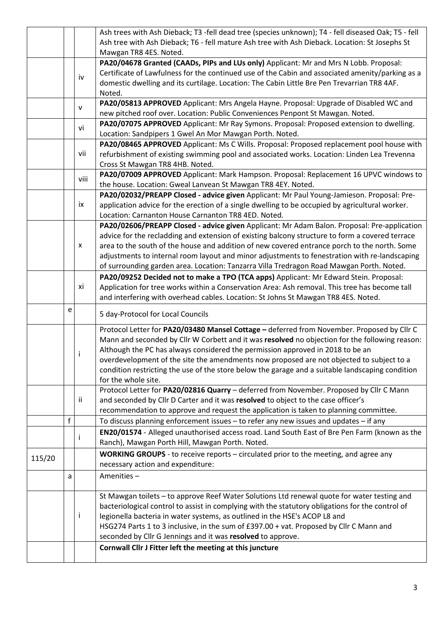|        |                                                             |      | Ash trees with Ash Dieback; T3 -fell dead tree (species unknown); T4 - fell diseased Oak; T5 - fell |  |  |  |  |
|--------|-------------------------------------------------------------|------|-----------------------------------------------------------------------------------------------------|--|--|--|--|
|        |                                                             |      | Ash tree with Ash Dieback; T6 - fell mature Ash tree with Ash Dieback. Location: St Josephs St      |  |  |  |  |
|        |                                                             |      | Mawgan TR8 4ES. Noted.                                                                              |  |  |  |  |
|        |                                                             |      | PA20/04678 Granted (CAADs, PIPs and LUs only) Applicant: Mr and Mrs N Lobb. Proposal:               |  |  |  |  |
|        |                                                             | iv   | Certificate of Lawfulness for the continued use of the Cabin and associated amenity/parking as a    |  |  |  |  |
|        |                                                             |      | domestic dwelling and its curtilage. Location: The Cabin Little Bre Pen Trevarrian TR8 4AF.         |  |  |  |  |
|        |                                                             |      | Noted.                                                                                              |  |  |  |  |
|        |                                                             | v    | PA20/05813 APPROVED Applicant: Mrs Angela Hayne. Proposal: Upgrade of Disabled WC and               |  |  |  |  |
|        |                                                             |      | new pitched roof over. Location: Public Conveniences Penpont St Mawgan. Noted.                      |  |  |  |  |
|        |                                                             | vi   | PA20/07075 APPROVED Applicant: Mr Ray Symons. Proposal: Proposed extension to dwelling.             |  |  |  |  |
|        | Location: Sandpipers 1 Gwel An Mor Mawgan Porth. Noted.     |      |                                                                                                     |  |  |  |  |
|        |                                                             |      | PA20/08465 APPROVED Applicant: Ms C Wills. Proposal: Proposed replacement pool house with           |  |  |  |  |
|        |                                                             | vii  | refurbishment of existing swimming pool and associated works. Location: Linden Lea Trevenna         |  |  |  |  |
|        |                                                             |      | Cross St Mawgan TR8 4HB. Noted.                                                                     |  |  |  |  |
|        |                                                             | viii | PA20/07009 APPROVED Applicant: Mark Hampson. Proposal: Replacement 16 UPVC windows to               |  |  |  |  |
|        |                                                             |      | the house. Location: Gweal Lanvean St Mawgan TR8 4EY. Noted.                                        |  |  |  |  |
|        |                                                             |      | PA20/02032/PREAPP Closed - advice given Applicant: Mr Paul Young-Jamieson. Proposal: Pre-           |  |  |  |  |
|        |                                                             | ix   | application advice for the erection of a single dwelling to be occupied by agricultural worker.     |  |  |  |  |
|        |                                                             |      | Location: Carnanton House Carnanton TR8 4ED. Noted.                                                 |  |  |  |  |
|        |                                                             |      | PA20/02606/PREAPP Closed - advice given Applicant: Mr Adam Balon. Proposal: Pre-application         |  |  |  |  |
|        |                                                             |      | advice for the recladding and extension of existing balcony structure to form a covered terrace     |  |  |  |  |
|        |                                                             | X    | area to the south of the house and addition of new covered entrance porch to the north. Some        |  |  |  |  |
|        |                                                             |      | adjustments to internal room layout and minor adjustments to fenestration with re-landscaping       |  |  |  |  |
|        |                                                             |      | of surrounding garden area. Location: Tanzarra Villa Tredragon Road Mawgan Porth. Noted.            |  |  |  |  |
|        |                                                             |      | PA20/09252 Decided not to make a TPO (TCA apps) Applicant: Mr Edward Stein. Proposal:               |  |  |  |  |
|        |                                                             | хi   | Application for tree works within a Conservation Area: Ash removal. This tree has become tall       |  |  |  |  |
|        |                                                             |      | and interfering with overhead cables. Location: St Johns St Mawgan TR8 4ES. Noted.                  |  |  |  |  |
|        | e                                                           |      |                                                                                                     |  |  |  |  |
|        |                                                             |      | 5 day-Protocol for Local Councils                                                                   |  |  |  |  |
|        |                                                             |      | Protocol Letter for PA20/03480 Mansel Cottage - deferred from November. Proposed by Cllr C          |  |  |  |  |
|        |                                                             |      | Mann and seconded by Cllr W Corbett and it was resolved no objection for the following reason:      |  |  |  |  |
|        |                                                             |      | Although the PC has always considered the permission approved in 2018 to be an                      |  |  |  |  |
|        |                                                             |      | overdevelopment of the site the amendments now proposed are not objected to subject to a            |  |  |  |  |
|        |                                                             |      | condition restricting the use of the store below the garage and a suitable landscaping condition    |  |  |  |  |
|        |                                                             |      | for the whole site.                                                                                 |  |  |  |  |
|        |                                                             |      | Protocol Letter for PA20/02816 Quarry - deferred from November. Proposed by Cllr C Mann             |  |  |  |  |
|        |                                                             | ii.  | and seconded by Cllr D Carter and it was resolved to object to the case officer's                   |  |  |  |  |
|        |                                                             |      | recommendation to approve and request the application is taken to planning committee.               |  |  |  |  |
|        | $\mathbf f$                                                 |      | To discuss planning enforcement issues - to refer any new issues and updates - if any               |  |  |  |  |
|        |                                                             |      | EN20/01574 - Alleged unauthorised access road. Land South East of Bre Pen Farm (known as the        |  |  |  |  |
|        |                                                             | j.   | Ranch), Mawgan Porth Hill, Mawgan Porth. Noted.                                                     |  |  |  |  |
|        |                                                             |      | WORKING GROUPS - to receive reports - circulated prior to the meeting, and agree any                |  |  |  |  |
| 115/20 |                                                             |      | necessary action and expenditure:                                                                   |  |  |  |  |
|        | a                                                           |      | Amenities-                                                                                          |  |  |  |  |
|        |                                                             |      |                                                                                                     |  |  |  |  |
|        |                                                             |      | St Mawgan toilets - to approve Reef Water Solutions Ltd renewal quote for water testing and         |  |  |  |  |
|        |                                                             |      | bacteriological control to assist in complying with the statutory obligations for the control of    |  |  |  |  |
| Ť      |                                                             |      | legionella bacteria in water systems, as outlined in the HSE's ACOP L8 and                          |  |  |  |  |
|        |                                                             |      | HSG274 Parts 1 to 3 inclusive, in the sum of £397.00 + vat. Proposed by Cllr C Mann and             |  |  |  |  |
|        | seconded by Cllr G Jennings and it was resolved to approve. |      |                                                                                                     |  |  |  |  |
|        |                                                             |      | Cornwall Cllr J Fitter left the meeting at this juncture                                            |  |  |  |  |
|        |                                                             |      |                                                                                                     |  |  |  |  |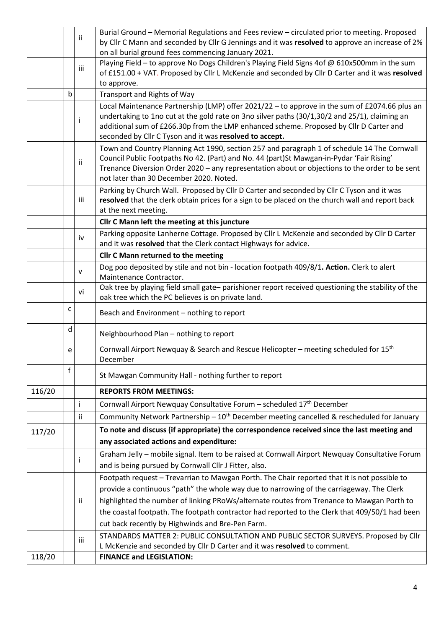|                      |                                                                                                | ii.                                                     | Burial Ground - Memorial Regulations and Fees review - circulated prior to meeting. Proposed                                                                                               |  |  |  |  |  |
|----------------------|------------------------------------------------------------------------------------------------|---------------------------------------------------------|--------------------------------------------------------------------------------------------------------------------------------------------------------------------------------------------|--|--|--|--|--|
|                      |                                                                                                |                                                         | by Cllr C Mann and seconded by Cllr G Jennings and it was resolved to approve an increase of 2%                                                                                            |  |  |  |  |  |
|                      |                                                                                                |                                                         | on all burial ground fees commencing January 2021.                                                                                                                                         |  |  |  |  |  |
|                      |                                                                                                | iii                                                     | Playing Field - to approve No Dogs Children's Playing Field Signs 4of @ 610x500mm in the sum                                                                                               |  |  |  |  |  |
|                      |                                                                                                |                                                         | of £151.00 + VAT. Proposed by Cllr L McKenzie and seconded by Cllr D Carter and it was resolved<br>to approve.                                                                             |  |  |  |  |  |
|                      | b<br>Transport and Rights of Way                                                               |                                                         |                                                                                                                                                                                            |  |  |  |  |  |
|                      | Local Maintenance Partnership (LMP) offer 2021/22 - to approve in the sum of £2074.66 plus an  |                                                         |                                                                                                                                                                                            |  |  |  |  |  |
|                      |                                                                                                | Ť                                                       | undertaking to 1no cut at the gold rate on 3no silver paths (30/1,30/2 and 25/1), claiming an                                                                                              |  |  |  |  |  |
|                      |                                                                                                |                                                         | additional sum of £266.30p from the LMP enhanced scheme. Proposed by Cllr D Carter and                                                                                                     |  |  |  |  |  |
|                      |                                                                                                | seconded by Cllr C Tyson and it was resolved to accept. |                                                                                                                                                                                            |  |  |  |  |  |
|                      |                                                                                                |                                                         | Town and Country Planning Act 1990, section 257 and paragraph 1 of schedule 14 The Cornwall                                                                                                |  |  |  |  |  |
|                      |                                                                                                | ii.                                                     | Council Public Footpaths No 42. (Part) and No. 44 (part)St Mawgan-in-Pydar 'Fair Rising'<br>Trenance Diversion Order 2020 - any representation about or objections to the order to be sent |  |  |  |  |  |
|                      |                                                                                                |                                                         | not later than 30 December 2020. Noted.                                                                                                                                                    |  |  |  |  |  |
|                      |                                                                                                |                                                         | Parking by Church Wall. Proposed by Cllr D Carter and seconded by Cllr C Tyson and it was                                                                                                  |  |  |  |  |  |
|                      |                                                                                                | iii                                                     | resolved that the clerk obtain prices for a sign to be placed on the church wall and report back                                                                                           |  |  |  |  |  |
| at the next meeting. |                                                                                                |                                                         |                                                                                                                                                                                            |  |  |  |  |  |
|                      |                                                                                                |                                                         | Cllr C Mann left the meeting at this juncture                                                                                                                                              |  |  |  |  |  |
|                      |                                                                                                | iv                                                      | Parking opposite Lanherne Cottage. Proposed by Cllr L McKenzie and seconded by Cllr D Carter                                                                                               |  |  |  |  |  |
|                      |                                                                                                |                                                         | and it was resolved that the Clerk contact Highways for advice.                                                                                                                            |  |  |  |  |  |
|                      |                                                                                                |                                                         | <b>Cllr C Mann returned to the meeting</b>                                                                                                                                                 |  |  |  |  |  |
|                      |                                                                                                | v                                                       | Dog poo deposited by stile and not bin - location footpath 409/8/1. Action. Clerk to alert<br>Maintenance Contractor.                                                                      |  |  |  |  |  |
|                      |                                                                                                |                                                         | Oak tree by playing field small gate-parishioner report received questioning the stability of the                                                                                          |  |  |  |  |  |
|                      |                                                                                                | vi                                                      | oak tree which the PC believes is on private land.                                                                                                                                         |  |  |  |  |  |
|                      | c                                                                                              |                                                         | Beach and Environment - nothing to report                                                                                                                                                  |  |  |  |  |  |
|                      | d                                                                                              |                                                         | Neighbourhood Plan - nothing to report                                                                                                                                                     |  |  |  |  |  |
|                      | e                                                                                              |                                                         | Cornwall Airport Newquay & Search and Rescue Helicopter - meeting scheduled for 15 <sup>th</sup><br>December                                                                               |  |  |  |  |  |
|                      | f                                                                                              |                                                         | St Mawgan Community Hall - nothing further to report                                                                                                                                       |  |  |  |  |  |
| 116/20               |                                                                                                |                                                         | <b>REPORTS FROM MEETINGS:</b>                                                                                                                                                              |  |  |  |  |  |
|                      |                                                                                                | j.                                                      | Cornwall Airport Newquay Consultative Forum - scheduled 17 <sup>th</sup> December                                                                                                          |  |  |  |  |  |
|                      |                                                                                                | ii.                                                     | Community Network Partnership - 10 <sup>th</sup> December meeting cancelled & rescheduled for January                                                                                      |  |  |  |  |  |
| 117/20               |                                                                                                |                                                         | To note and discuss (if appropriate) the correspondence received since the last meeting and                                                                                                |  |  |  |  |  |
|                      |                                                                                                |                                                         | any associated actions and expenditure:                                                                                                                                                    |  |  |  |  |  |
|                      |                                                                                                |                                                         | Graham Jelly - mobile signal. Item to be raised at Cornwall Airport Newquay Consultative Forum                                                                                             |  |  |  |  |  |
|                      |                                                                                                | Ť                                                       | and is being pursued by Cornwall Cllr J Fitter, also.                                                                                                                                      |  |  |  |  |  |
|                      |                                                                                                |                                                         | Footpath request - Trevarrian to Mawgan Porth. The Chair reported that it is not possible to                                                                                               |  |  |  |  |  |
|                      |                                                                                                |                                                         | provide a continuous "path" the whole way due to narrowing of the carriageway. The Clerk                                                                                                   |  |  |  |  |  |
|                      |                                                                                                | ii.                                                     | highlighted the number of linking PRoWs/alternate routes from Trenance to Mawgan Porth to                                                                                                  |  |  |  |  |  |
|                      | the coastal footpath. The footpath contractor had reported to the Clerk that 409/50/1 had been |                                                         |                                                                                                                                                                                            |  |  |  |  |  |
|                      | cut back recently by Highwinds and Bre-Pen Farm.                                               |                                                         |                                                                                                                                                                                            |  |  |  |  |  |
|                      |                                                                                                | iii                                                     | STANDARDS MATTER 2: PUBLIC CONSULTATION AND PUBLIC SECTOR SURVEYS. Proposed by Cllr                                                                                                        |  |  |  |  |  |
|                      |                                                                                                |                                                         | L McKenzie and seconded by Cllr D Carter and it was resolved to comment.                                                                                                                   |  |  |  |  |  |
| 118/20               |                                                                                                |                                                         | <b>FINANCE and LEGISLATION:</b>                                                                                                                                                            |  |  |  |  |  |